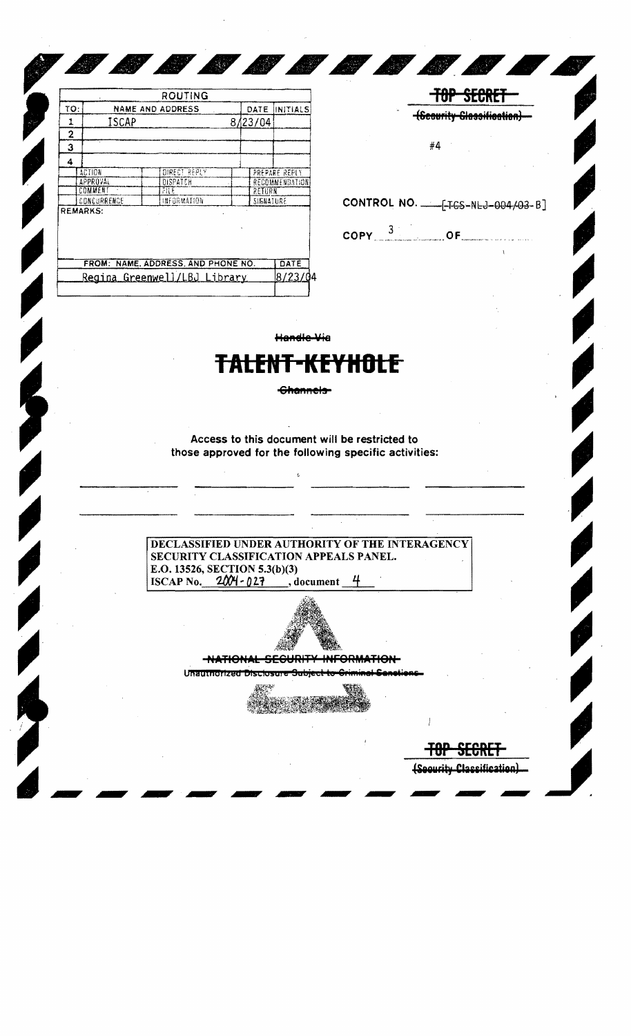|            |                                  | ROUTING                 |  |           |                 |
|------------|----------------------------------|-------------------------|--|-----------|-----------------|
| <b>το:</b> |                                  | <b>NAME AND ADDRESS</b> |  | DATE      | <b>INITIALS</b> |
|            | ISCAP                            |                         |  | 8/23/04   |                 |
| 2          |                                  |                         |  |           |                 |
| 3          |                                  |                         |  |           |                 |
| 4          |                                  |                         |  |           |                 |
|            | <b>ACTION</b>                    | DIRECT REPLY            |  |           | PREPARE REPLY.  |
|            | <b>APPROVAL</b>                  | DISPATCH                |  |           | RECOMMENDATION  |
|            | COMMENT<br>$\tilde{\phantom{a}}$ | FILE                    |  | RETURN    |                 |
|            | CONCURRENCE                      | INFORMATION             |  | SIGNATURE |                 |
|            | <b>REMARKS:</b>                  |                         |  |           |                 |
|            |                                  |                         |  |           |                 |
|            |                                  |                         |  |           |                 |
|            | COOM.<br><b>ALA GAC.</b>         | ADDOCCC<br>AND DUONE NO |  |           | <b>MATE</b>     |

| FROM: NAME, ADDRESS, AND PHONE NO. | $I$ DATE |  |
|------------------------------------|----------|--|
| Regina Greenwell/LBJ Library       | 8/23/04  |  |
|                                    |          |  |

|                 |   | <b>Contract</b> |        |                          |  |
|-----------------|---|-----------------|--------|--------------------------|--|
| #4              | ٠ |                 |        |                          |  |
| contractors and |   |                 | $\sim$ | <b>Contract Contract</b> |  |

**TOP SECRET** 

**(Scourity Glassification)** 

 $\mathsf{COPY} \xrightarrow{3} \mathsf{OF}$ 

Handle Via

## ALENT-KEYHOLE

COMMUNISTRATIVOS

Channels-

Access to this document will be restricted to those approved for the following specific activities:

DECLASSIFIED UNDER AUTHORITY OF THE INTERAGENCY SECURITY CLASSIFICATION APPEALS PANEL. E.O. 13526, SECTION 5.3(b)(3) ISCAP No.  $2001 - 027$ , document 4



-NATIONAL SEGURITY INFORMATION-

Unauthorized Disclosure Subject to

 $+0$ 

(Security Classification)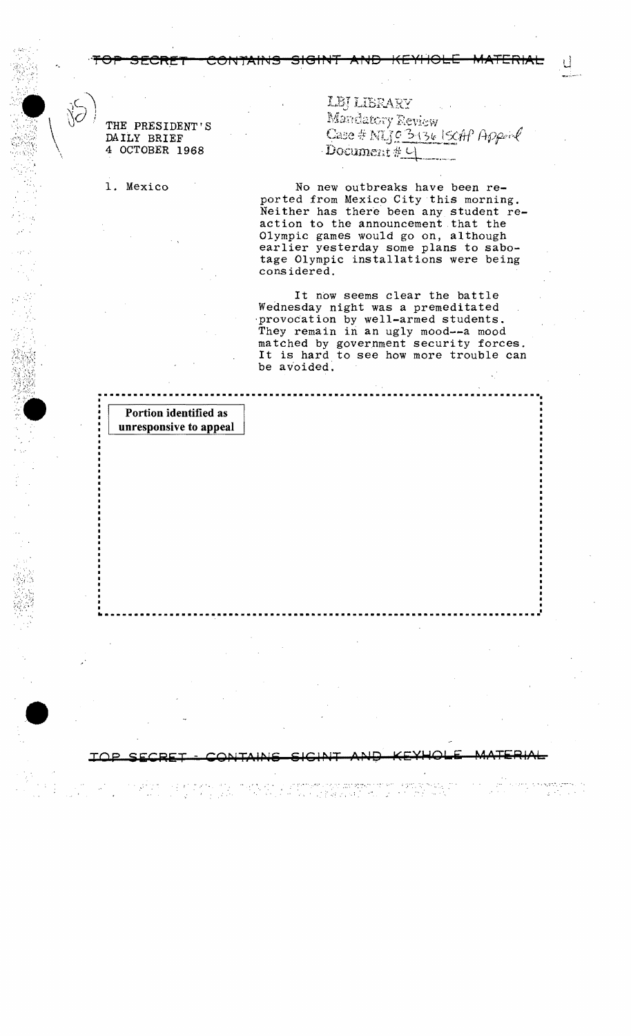THE PRESIDENT'S DAILY BRIEF 4 OCTOBER 1968

1. Mexico

LEJ LIBRARY Mandatory Review Case #  $M103136150H$  Appen Document #4

No new outbreaks have been reported from Mexico City this morning. Neither has there been any student reaction to the announcement that the Olympic games would go on, although earlier yesterday some plans to sabotage Olympic installations were being considered.

<del>SIGINT</del>

 $\bigstar$ 

It now seems clear the battle Wednesday night was a premeditated provocation by well-armed students. They remain in an ugly mood--a mood matched by government security forces. It is hard to see how more trouble can be avoided.

Portion identified as unresponsive to appeal

Para ser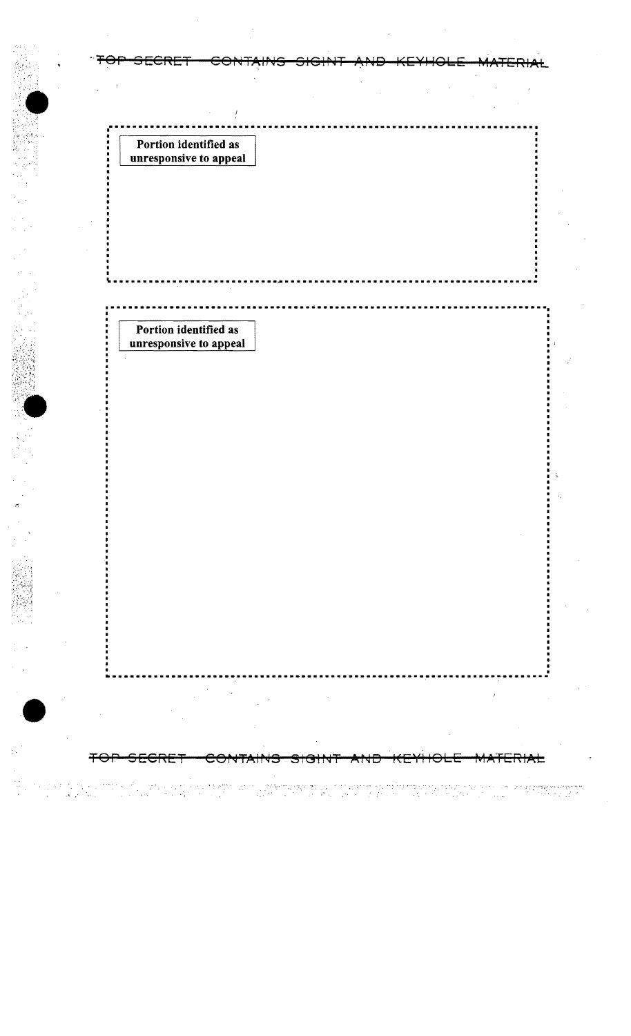| ᠁ᢦ᠊᠍᠊ᠣ<br>ਤਾ<br><u>our d</u>                    | ᡨ |  |
|-------------------------------------------------|---|--|
|                                                 |   |  |
|                                                 |   |  |
| Portion identified as<br>unresponsive to appeal |   |  |
|                                                 |   |  |
|                                                 |   |  |
|                                                 |   |  |
|                                                 |   |  |
|                                                 |   |  |
|                                                 |   |  |
|                                                 |   |  |
| Portion identified as<br>unresponsive to appeal |   |  |
|                                                 |   |  |
|                                                 |   |  |
|                                                 |   |  |
|                                                 |   |  |
|                                                 |   |  |
|                                                 |   |  |
|                                                 |   |  |
|                                                 |   |  |
|                                                 |   |  |
|                                                 |   |  |
|                                                 |   |  |
|                                                 |   |  |
|                                                 |   |  |
|                                                 |   |  |
|                                                 |   |  |
|                                                 |   |  |
|                                                 |   |  |

 $\hat{\mathcal{F}}$ 

 $\frac{1}{\sqrt{2}}\frac{d\mathbf{r}}{d\mathbf{r}}$  $\begin{array}{l} \mathbb{Z} \times \mathbb{Z} \times \mathbb{R} \\ \mathbb{Z} \times \mathbb{Z} \times \mathbb{R} \end{array}$ ang persengkanan<br>Sebagai di S  $\tilde{\gamma}_\star$  $\frac{\partial}{\partial t}$ Ĵ 99  $\sim 10^{-10}$ TF. n gi P)<br>Pr  $\hat{\phi}_i$  $\ddot{\phantom{a}}$